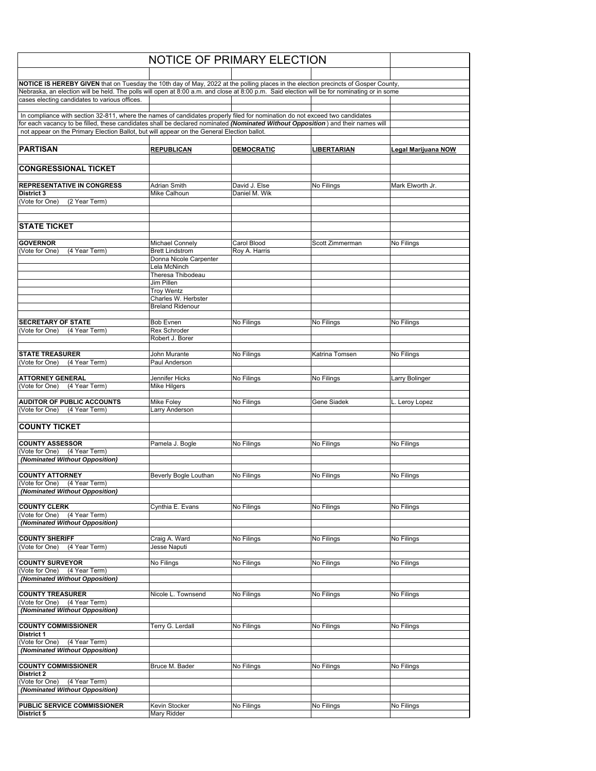| <b>NOTICE OF PRIMARY ELECTION</b>                                                                                                                                                                                             |                                        |                   |                 |                     |
|-------------------------------------------------------------------------------------------------------------------------------------------------------------------------------------------------------------------------------|----------------------------------------|-------------------|-----------------|---------------------|
|                                                                                                                                                                                                                               |                                        |                   |                 |                     |
| NOTICE IS HEREBY GIVEN that on Tuesday the 10th day of May, 2022 at the polling places in the election precincts of Gosper County,                                                                                            |                                        |                   |                 |                     |
| Nebraska, an election will be held. The polls will open at 8:00 a.m. and close at 8:00 p.m. Said election will be for nominating or in some<br>cases electing candidates to various offices.                                  |                                        |                   |                 |                     |
| In compliance with section 32-811, where the names of candidates properly filed for nomination do not exceed two candidates                                                                                                   |                                        |                   |                 |                     |
| for each vacancy to be filled, these candidates shall be declared nominated (Nominated Without Opposition) and their names will<br>not appear on the Primary Election Ballot, but will appear on the General Election ballot. |                                        |                   |                 |                     |
| <b>PARTISAN</b>                                                                                                                                                                                                               | <b>REPUBLICAN</b>                      | <b>DEMOCRATIC</b> | LIBERTARIAN     | Legal Marijuana NOW |
| <b>CONGRESSIONAL TICKET</b>                                                                                                                                                                                                   |                                        |                   |                 |                     |
| <b>REPRESENTATIVE IN CONGRESS</b>                                                                                                                                                                                             | <b>Adrian Smith</b>                    | David J. Else     | No Filings      | Mark Elworth Jr.    |
| District 3                                                                                                                                                                                                                    | Mike Calhoun                           | Daniel M. Wik     |                 |                     |
| (Vote for One)<br>(2 Year Term)                                                                                                                                                                                               |                                        |                   |                 |                     |
| <b>STATE TICKET</b>                                                                                                                                                                                                           |                                        |                   |                 |                     |
| <b>GOVERNOR</b>                                                                                                                                                                                                               | <b>Michael Connely</b>                 | Carol Blood       | Scott Zimmerman | No Filings          |
| (Vote for One)<br>(4 Year Term)                                                                                                                                                                                               | <b>Brett Lindstrom</b>                 | Roy A. Harris     |                 |                     |
|                                                                                                                                                                                                                               | Donna Nicole Carpenter                 |                   |                 |                     |
|                                                                                                                                                                                                                               | Lela McNinch<br>Theresa Thibodeau      |                   |                 |                     |
|                                                                                                                                                                                                                               | Jim Pillen<br><b>Troy Wentz</b>        |                   |                 |                     |
|                                                                                                                                                                                                                               | Charles W. Herbster                    |                   |                 |                     |
|                                                                                                                                                                                                                               | <b>Breland Ridenour</b>                |                   |                 |                     |
| <b>SECRETARY OF STATE</b>                                                                                                                                                                                                     | Bob Evnen                              | No Filings        | No Filings      | No Filings          |
| (Vote for One)<br>(4 Year Term)                                                                                                                                                                                               | <b>Rex Schroder</b><br>Robert J. Borer |                   |                 |                     |
| <b>STATE TREASURER</b><br>(4 Year Term)<br>(Vote for One)                                                                                                                                                                     | John Murante<br>Paul Anderson          | No Filings        | Katrina Tomsen  | No Filings          |
|                                                                                                                                                                                                                               |                                        |                   |                 |                     |
| <b>ATTORNEY GENERAL</b>                                                                                                                                                                                                       | Jennifer Hicks                         | No Filings        | No Filings      | Larry Bolinger      |
| (Vote for One)<br>(4 Year Term)                                                                                                                                                                                               | <b>Mike Hilgers</b>                    |                   |                 |                     |
| <b>AUDITOR OF PUBLIC ACCOUNTS</b><br>(Vote for One)<br>(4 Year Term)                                                                                                                                                          | Mike Foley<br>Larry Anderson           | No Filings        | Gene Siadek     | L. Leroy Lopez      |
| <b>COUNTY TICKET</b>                                                                                                                                                                                                          |                                        |                   |                 |                     |
| <b>COUNTY ASSESSOR</b>                                                                                                                                                                                                        | Pamela J. Bogle                        | No Filings        | No Filings      | No Filings          |
| (4 Year Term)<br>(Vote for One)                                                                                                                                                                                               |                                        |                   |                 |                     |
| (Nominated Without Opposition)                                                                                                                                                                                                |                                        |                   |                 |                     |
| <b>COUNTY ATTORNEY</b><br>(Vote for One)                                                                                                                                                                                      | Beverly Bogle Louthan                  | No Filings        | No Filings      | No Filings          |
| (4 Year Term)<br>(Nominated Without Opposition)                                                                                                                                                                               |                                        |                   |                 |                     |
| <b>COUNTY CLERK</b>                                                                                                                                                                                                           | Cynthia E. Evans                       | No Filings        | No Filings      | No Filings          |
| (Vote for One)<br>(4 Year Term)                                                                                                                                                                                               |                                        |                   |                 |                     |
| (Nominated Without Opposition)                                                                                                                                                                                                |                                        |                   |                 |                     |
| <b>COUNTY SHERIFF</b>                                                                                                                                                                                                         | Craig A. Ward                          | No Filings        | No Filings      | No Filings          |
| (Vote for One)<br>(4 Year Term)                                                                                                                                                                                               | Jesse Naputi                           |                   |                 |                     |
| <b>COUNTY SURVEYOR</b>                                                                                                                                                                                                        | No Filings                             | No Filings        | No Filings      | No Filings          |
| (Vote for One)<br>(4 Year Term)<br>(Nominated Without Opposition)                                                                                                                                                             |                                        |                   |                 |                     |
|                                                                                                                                                                                                                               |                                        |                   |                 |                     |
| <b>COUNTY TREASURER</b><br>(Vote for One)<br>(4 Year Term)                                                                                                                                                                    | Nicole L. Townsend                     | No Filings        | No Filings      | No Filings          |
| (Nominated Without Opposition)                                                                                                                                                                                                |                                        |                   |                 |                     |
| <b>COUNTY COMMISSIONER</b><br><b>District 1</b>                                                                                                                                                                               | Terry G. Lerdall                       | No Filings        | No Filings      | No Filings          |
| (4 Year Term)<br>(Vote for One)                                                                                                                                                                                               |                                        |                   |                 |                     |
| (Nominated Without Opposition)                                                                                                                                                                                                |                                        |                   |                 |                     |
| <b>COUNTY COMMISSIONER</b><br><b>District 2</b>                                                                                                                                                                               | Bruce M. Bader                         | No Filings        | No Filings      | No Filings          |
| (Vote for One)<br>(4 Year Term)<br>(Nominated Without Opposition)                                                                                                                                                             |                                        |                   |                 |                     |
| PUBLIC SERVICE COMMISSIONER                                                                                                                                                                                                   | Kevin Stocker                          | No Filings        | No Filings      | No Filings          |
| District 5                                                                                                                                                                                                                    | Mary Ridder                            |                   |                 |                     |
|                                                                                                                                                                                                                               |                                        |                   |                 |                     |